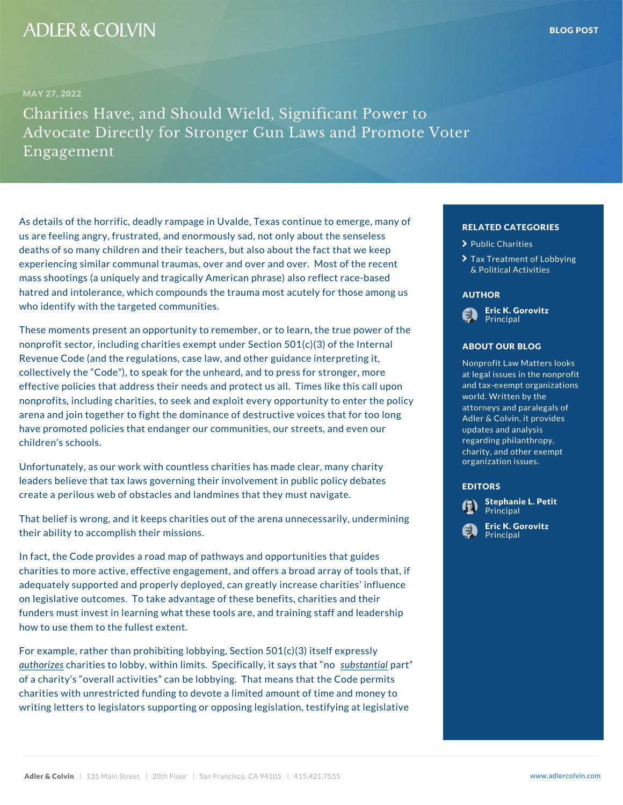As details of the horrific, deadly rampage in Uvalde, Te us are feeling angry, frustrated, and enormously sad, not all about the sense in sell deaths of so many children and their teachers, but also about the chainties are keep experiencing similar communal traumas, over and over and the recent of the recent of the recent of the recent mass shootings (a uniquely and tragically American phrase) also reflect race-based race-based race-based racehatred and intolerance, which compounds the trauma most authors are some most and intolerance, which compounds the trauma most authors who identify with the targeted communities.

These moments present an opportunity to remember, or to learn and the true power of the true power of the true nonprofit sector, including charities exempt under Section 50017 our BLOG of the Revenue Code (and the regulations, case law, and other collectively the Code ), to speak for the unheard, and  $t$ effective policies that address their needs and protect  $\mathfrak l$ nonprofits, including charities, to seek and exploit every world, written by the policy arena and join together to fight the dominance of destru have promoted policies that endanger our communities, updates and analysis our children s schools.

Unfortunately, as our work with countless charities has a many charity in the clear leaders believe that tax laws governing their involvement in purpose the solution of create a perilous web of obstacles and landmines that the

That belief is wrong, and it keeps charities out of the area undermining the second ind their ability to accomplish their missions.

In fact, the Code provides a road map of pathways and details that guides the global design of pathways and des charities to more active, effective engagement, and offers a strategy of the strategy of tools that, if the to adequately supported and properly deployed, can greatly increase charities in the inf on legislative outcomes. To take advantage of these benefits, charitate and the funders must invest in learning what these tools are, and training and leadership and training staff and leader how to use them to the fullest extent.

For example, rather than prohibiting lobbying, Section 501(c)(3) itself expressly <u>autho</u>riozheasrities to lobby, within limits. Sp<u>eeuchi**s**itoa</u>anptlayan, tit of a charity so verall activities can be lobbying. That the contraction of permits  $\mathsf{p}\mathsf{e}$ charities with unrestricted funding to devote a limited and monocontrolled and monocontrolled and monocontrolle writing letters to legislators supporting or opposing legislation, the legislation, testifying at legislation,

## RELATED CATEGORIE<sup>S</sup>,  $\blacktriangleright$  [Public Ch](�� h t t p s : / / w w w . a d l e r c o l v i n . c o m / b l o g / c a t e g o r y / p u b l i c - c h a r i t i e s /)arities > [Tax Treatment of](�� h t t p s : / / w w w . a d l e r c o l v i n . c o m / b l o g / c a t e g o r y / t a x - t r e a t m e n t - o f - l o b b y i n g - p o l i t i c a l - a c t i v i t i e s /) Lo [& Political A](�� h t t p s : / / w w w . a d l e r c o l v i n . c o m / b l o g / c a t e g o r y / t a x - t r e a t m e n t - o f - l o b b y i n g - p o l i t i c a l - a c t i v i t i e s /)ctivities AUTHOR [Eric K. Go](�� h t t p s : / / w w w . a d l e r c o l v i n . c o m / e r i c - k - g o r o v i t z /)rovitz Principal ABOUT OUR BLOG Nonprofit L<u>aw Matter</u>s <sup>i</sup> at legal issues in the **m** and tax-exempt organ<mark>s a</mark>

world. Written by the attorneys and paraleg Adler & Colvin, it pro updates and analysis regarding philanthrop charity, and other  $ex$ organization issues.

## EDITORS

[Stephanie L](�� h t t p s : / / w w w . a d l e r c o l v i n . c o m / s t e p h a n i e - l - p e t i t /). Petit **Principal** [Eric K. Go](�� h t t p s : / / w w w . a d l e r c o l v i n . c o m / e r i c - k - g o r o v i t z /)rovitz **Principal**